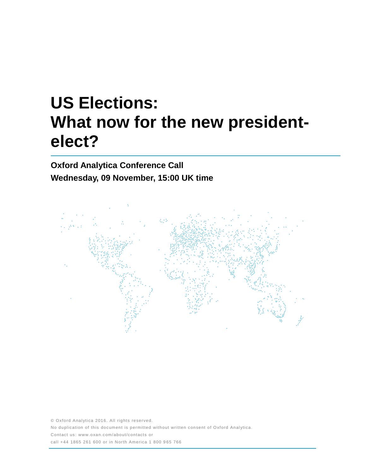# **US Elections: What now for the new presidentelect?**

**Oxford Analytica Conference Call Wednesday, 09 November, 15:00 UK time**



© Oxford Analytica 2016. All rights reserved. No duplication of this document is permitted without written consent of Oxford Analytica. Contact us: www.oxan.com/about/contacts or call +44 1865 261 600 or in North America 1 800 9 65 766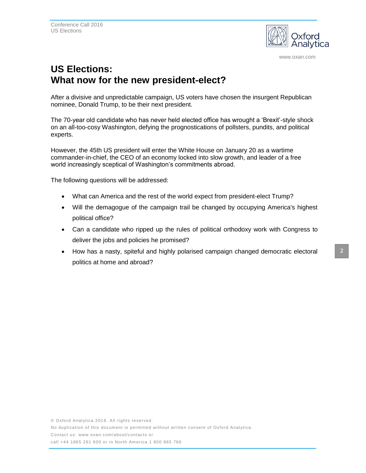

www.oxan.com

## **US Elections: What now for the new president-elect?**

After a divisive and unpredictable campaign, US voters have chosen the insurgent Republican nominee, Donald Trump, to be their next president.

The 70-year old candidate who has never held elected office has wrought a 'Brexit'-style shock on an all-too-cosy Washington, defying the prognostications of pollsters, pundits, and political experts.

However, the 45th US president will enter the White House on January 20 as a wartime commander-in-chief, the CEO of an economy locked into slow growth, and leader of a free world increasingly sceptical of Washington's commitments abroad.

The following questions will be addressed:

- What can America and the rest of the world expect from president-elect Trump?
- Will the demagogue of the campaign trail be changed by occupying America's highest political office?
- Can a candidate who ripped up the rules of political orthodoxy work with Congress to deliver the jobs and policies he promised?
- How has a nasty, spiteful and highly polarised campaign changed democratic electoral politics at home and abroad?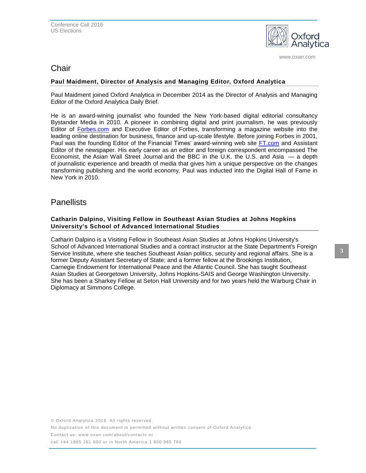

www.oxan.com

## Chair

## **Paul Maidment, Director of Analysis and Managing Editor, Oxford Analytica**

Paul Maidment joined Oxford Analytica in December 2014 as the Director of Analysis and Managing Editor of the Oxford Analytica Daily Brief.

He is an award-wining journalist who founded the New York-based digital editorial consultancy Bystander Media in 2010. A pioneer in combining digital and print journalism, he was previously Editor of [Forbes.com](http://forbes.com/) and Executive Editor of Forbes, transforming a magazine website into the leading online destination for business, finance and up-scale lifestyle. Before joining Forbes in 2001, Paul was the founding Editor of the Financial Times' award-winning web site [FT.com](http://ft.com/) and Assistant Editor of the newspaper. His early career as an editor and foreign correspondent encompassed The Economist, the Asian Wall Street Journal and the BBC in the U.K. the U.S. and Asia — a depth of journalistic experience and breadth of media that gives him a unique perspective on the changes transforming publishing and the world economy. Paul was inducted into the Digital Hall of Fame in New York in 2010.

## **Panellists**

### **Catharin Dalpino, Visiting Fellow in Southeast Asian Studies at Johns Hopkins University's School of Advanced International Studies**

Catharin Dalpino is a Visiting Fellow in Southeast Asian Studies at Johns Hopkins University's School of Advanced International Studies and a contract instructor at the State Department's Foreign Service Institute, where she teaches Southeast Asian politics, security and regional affairs. She is a former Deputy Assistant Secretary of State; and a former fellow at the Brookings Institution, Carnegie Endowment for International Peace and the Atlantic Council. She has taught Southeast Asian Studies at Georgetown University, Johns Hopkins-SAIS and George Washington University. She has been a Sharkey Fellow at Seton Hall University and for two years held the Warburg Chair in Diplomacy at Simmons College.